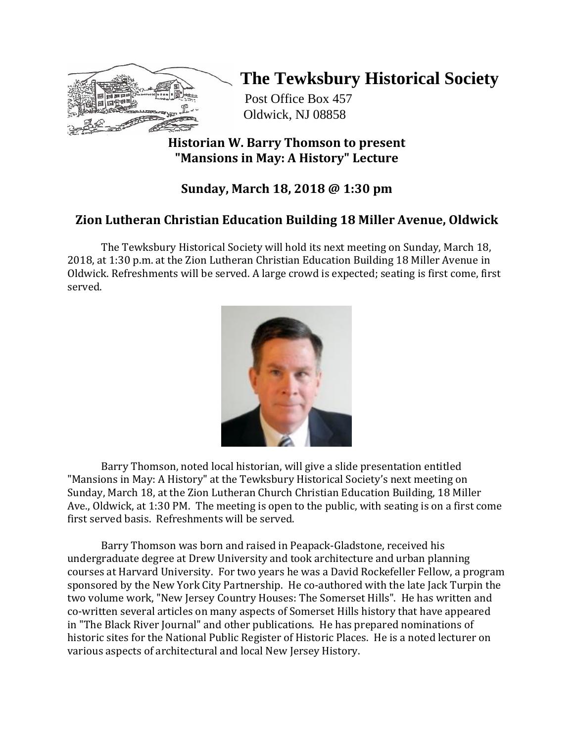

# **The Tewksbury Historical Society**

Post Office Box 457 Oldwick, NJ 08858

### **Historian W. Barry Thomson to present "Mansions in May: A History" Lecture**

# **Sunday, March 18, 2018 @ 1:30 pm**

# **Zion Lutheran Christian Education Building 18 Miller Avenue, Oldwick**

The Tewksbury Historical Society will hold its next meeting on Sunday, March 18, 2018, at 1:30 p.m. at the Zion Lutheran Christian Education Building 18 Miller Avenue in Oldwick. Refreshments will be served. A large crowd is expected; seating is first come, first served.



Barry Thomson, noted local historian, will give a slide presentation entitled "Mansions in May: A History" at the Tewksbury Historical Society's next meeting on Sunday, March 18, at the Zion Lutheran Church Christian Education Building, 18 Miller Ave., Oldwick, at 1:30 PM. The meeting is open to the public, with seating is on a first come first served basis. Refreshments will be served.

Barry Thomson was born and raised in Peapack-Gladstone, received his undergraduate degree at Drew University and took architecture and urban planning courses at Harvard University. For two years he was a David Rockefeller Fellow, a program sponsored by the New York City Partnership. He co-authored with the late Jack Turpin the two volume work, "New Jersey Country Houses: The Somerset Hills". He has written and co-written several articles on many aspects of Somerset Hills history that have appeared in "The Black River Journal" and other publications. He has prepared nominations of historic sites for the National Public Register of Historic Places. He is a noted lecturer on various aspects of architectural and local New Jersey History.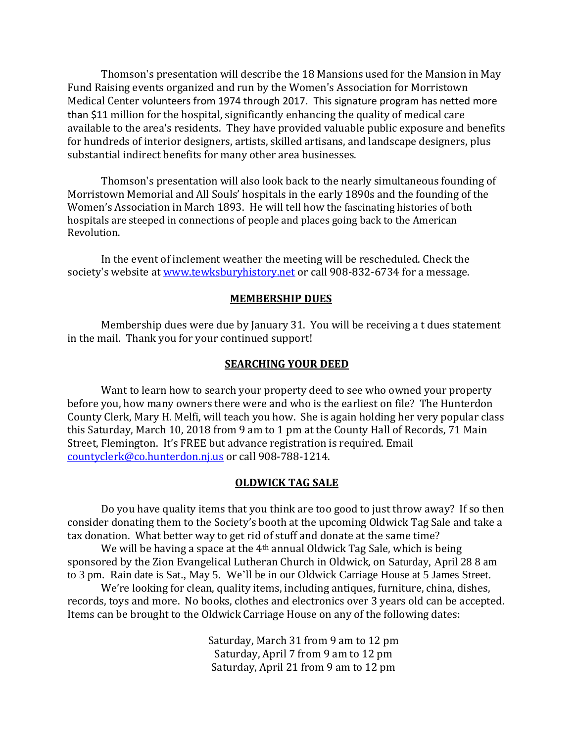Thomson's presentation will describe the 18 Mansions used for the Mansion in May Fund Raising events organized and run by the Women's Association for Morristown Medical Center volunteers from 1974 through 2017. This signature program has netted more than \$11 million for the hospital, significantly enhancing the quality of medical care available to the area's residents. They have provided valuable public exposure and benefits for hundreds of interior designers, artists, skilled artisans, and landscape designers, plus substantial indirect benefits for many other area businesses.

Thomson's presentation will also look back to the nearly simultaneous founding of Morristown Memorial and All Souls' hospitals in the early 1890s and the founding of the Women's Association in March 1893. He will tell how the fascinating histories of both hospitals are steeped in connections of people and places going back to the American Revolution.

In the event of inclement weather the meeting will be rescheduled. Check the society's website at [www.tewksburyhistory.net](http://www.tewksburyhistory.net/) or call 908-832-6734 for a message.

#### **MEMBERSHIP DUES**

Membership dues were due by January 31. You will be receiving a t dues statement in the mail. Thank you for your continued support!

#### **SEARCHING YOUR DEED**

Want to learn how to search your property deed to see who owned your property before you, how many owners there were and who is the earliest on file? The Hunterdon County Clerk, Mary H. Melfi, will teach you how. She is again holding her very popular class this Saturday, March 10, 2018 from 9 am to 1 pm at the County Hall of Records, 71 Main Street, Flemington. It's FREE but advance registration is required. Email [countyclerk@co.hunterdon.nj.us](mailto:countyclerk@co.hunterdon.nj.us) or call 908-788-1214.

#### **OLDWICK TAG SALE**

Do you have quality items that you think are too good to just throw away? If so then consider donating them to the Society's booth at the upcoming Oldwick Tag Sale and take a tax donation. What better way to get rid of stuff and donate at the same time?

We will be having a space at the 4<sup>th</sup> annual Oldwick Tag Sale, which is being sponsored by the Zion Evangelical Lutheran Church in Oldwick, on Saturday, April 28 8 am to 3 pm. Rain date is Sat., May 5. We'll be in our Oldwick Carriage House at 5 James Street.

We're looking for clean, quality items, including antiques, furniture, china, dishes, records, toys and more. No books, clothes and electronics over 3 years old can be accepted. Items can be brought to the Oldwick Carriage House on any of the following dates:

> Saturday, March 31 from 9 am to 12 pm Saturday, April 7 from 9 am to 12 pm Saturday, April 21 from 9 am to 12 pm